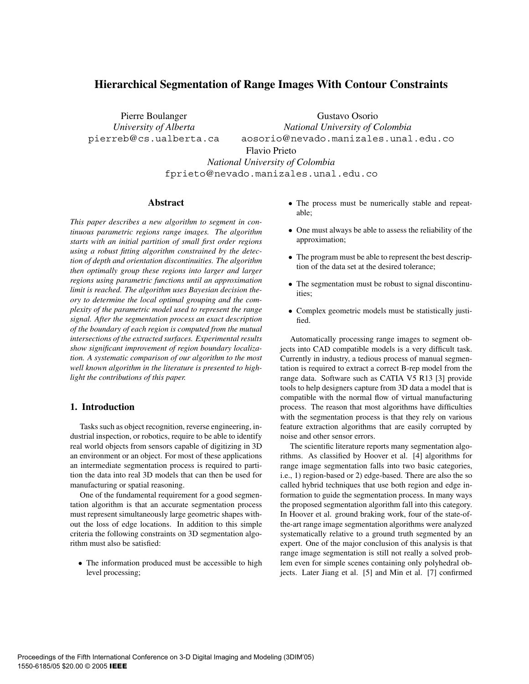# **Hierarchical Segmentation of Range Images With Contour Constraints**

Pierre Boulanger *University of Alberta* pierreb@cs.ualberta.ca

Gustavo Osorio *National University of Colombia* aosorio@nevado.manizales.unal.edu.co Flavio Prieto *National University of Colombia*

fprieto@nevado.manizales.unal.edu.co

### **Abstract**

*This paper describes a new algorithm to segment in continuous parametric regions range images. The algorithm starts with an initial partition of small first order regions using a robust fitting algorithm constrained by the detection of depth and orientation discontinuities. The algorithm then optimally group these regions into larger and larger regions using parametric functions until an approximation limit is reached. The algorithm uses Bayesian decision theory to determine the local optimal grouping and the complexity of the parametric model used to represent the range signal. After the segmentation process an exact description of the boundary of each region is computed from the mutual intersections of the extracted surfaces. Experimental results show significant improvement of region boundary localization. A systematic comparison of our algorithm to the most well known algorithm in the literature is presented to highlight the contributions of this paper.*

### **1. Introduction**

Tasks such as object recognition, reverse engineering, industrial inspection, or robotics, require to be able to identify real world objects from sensors capable of digitizing in 3D an environment or an object. For most of these applications an intermediate segmentation process is required to partition the data into real 3D models that can then be used for manufacturing or spatial reasoning.

One of the fundamental requirement for a good segmentation algorithm is that an accurate segmentation process must represent simultaneously large geometric shapes without the loss of edge locations. In addition to this simple criteria the following constraints on 3D segmentation algorithm must also be satisfied:

• The information produced must be accessible to high level processing;

- The process must be numerically stable and repeatable;
- One must always be able to assess the reliability of the approximation;
- The program must be able to represent the best description of the data set at the desired tolerance;
- The segmentation must be robust to signal discontinuities;
- Complex geometric models must be statistically justified.

Automatically processing range images to segment objects into CAD compatible models is a very difficult task. Currently in industry, a tedious process of manual segmentation is required to extract a correct B-rep model from the range data. Software such as CATIA V5 R13 [3] provide tools to help designers capture from 3D data a model that is compatible with the normal flow of virtual manufacturing process. The reason that most algorithms have difficulties with the segmentation process is that they rely on various feature extraction algorithms that are easily corrupted by noise and other sensor errors.

The scientific literature reports many segmentation algorithms. As classified by Hoover et al. [4] algorithms for range image segmentation falls into two basic categories, i.e., 1) region-based or 2) edge-based. There are also the so called hybrid techniques that use both region and edge information to guide the segmentation process. In many ways the proposed segmentation algorithm fall into this category. In Hoover et al. ground braking work, four of the state-ofthe-art range image segmentation algorithms were analyzed systematically relative to a ground truth segmented by an expert. One of the major conclusion of this analysis is that range image segmentation is still not really a solved problem even for simple scenes containing only polyhedral objects. Later Jiang et al. [5] and Min et al. [7] confirmed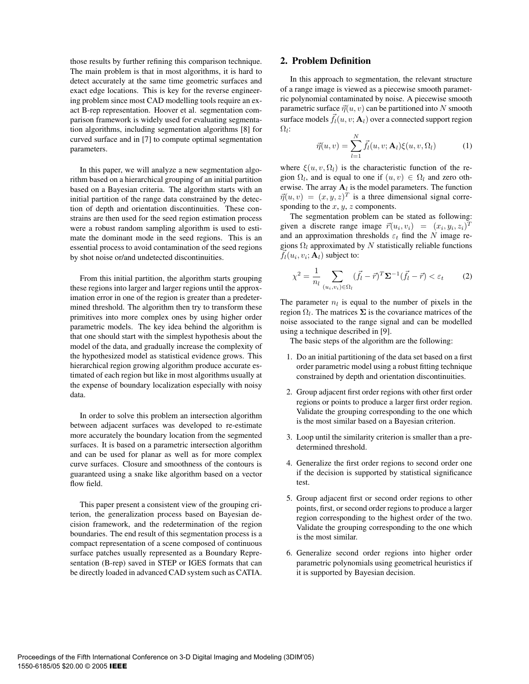those results by further refining this comparison technique. The main problem is that in most algorithms, it is hard to detect accurately at the same time geometric surfaces and exact edge locations. This is key for the reverse engineering problem since most CAD modelling tools require an exact B-rep representation. Hoover et al. segmentation comparison framework is widely used for evaluating segmentation algorithms, including segmentation algorithms [8] for curved surface and in [7] to compute optimal segmentation parameters.

In this paper, we will analyze a new segmentation algorithm based on a hierarchical grouping of an initial partition based on a Bayesian criteria. The algorithm starts with an initial partition of the range data constrained by the detection of depth and orientation discontinuities. These constrains are then used for the seed region estimation process were a robust random sampling algorithm is used to estimate the dominant mode in the seed regions. This is an essential process to avoid contamination of the seed regions by shot noise or/and undetected discontinuities.

From this initial partition, the algorithm starts grouping these regions into larger and larger regions until the approximation error in one of the region is greater than a predetermined threshold. The algorithm then try to transform these primitives into more complex ones by using higher order parametric models. The key idea behind the algorithm is that one should start with the simplest hypothesis about the model of the data, and gradually increase the complexity of the hypothesized model as statistical evidence grows. This hierarchical region growing algorithm produce accurate estimated of each region but like in most algorithms usually at the expense of boundary localization especially with noisy data.

In order to solve this problem an intersection algorithm between adjacent surfaces was developed to re-estimate more accurately the boundary location from the segmented surfaces. It is based on a parametric intersection algorithm and can be used for planar as well as for more complex curve surfaces. Closure and smoothness of the contours is guaranteed using a snake like algorithm based on a vector flow field.

This paper present a consistent view of the grouping criterion, the generalization process based on Bayesian decision framework, and the redetermination of the region boundaries. The end result of this segmentation process is a compact representation of a scene composed of continuous surface patches usually represented as a Boundary Representation (B-rep) saved in STEP or IGES formats that can be directly loaded in advanced CAD system such as CATIA.

### **2. Problem Definition**

In this approach to segmentation, the relevant structure of a range image is viewed as a piecewise smooth parametric polynomial contaminated by noise. A piecewise smooth parametric surface  $\vec{\eta}(u, v)$  can be partitioned into N smooth surface models  $\vec{f}_l(u, v; \mathbf{A}_l)$  over a connected support region  $\Omega_l$ :

$$
\vec{\eta}(u,v) = \sum_{l=1}^{N} \vec{f}_l(u,v; \mathbf{A}_l) \xi(u,v, \Omega_l)
$$
 (1)

where  $\xi(u, v, \Omega_l)$  is the characteristic function of the region  $\Omega_l$ , and is equal to one if  $(u, v) \in \Omega_l$  and zero otherwise. The array  $A_l$  is the model parameters. The function  $\vec{\eta}(u, v) = (x, y, z)^T$  is a three dimensional signal corresponding to the  $x, y, z$  components.

The segmentation problem can be stated as following: given a discrete range image  $\vec{r}(u_i, v_i) = (x_i, y_i, z_i)^T$ and an approximation thresholds  $\varepsilon_t$  find the N image regions  $\Omega_l$  approximated by N statistically reliable functions  $\vec{f}_l(u_i, v_i; \mathbf{A}_l)$  subject to:

$$
\chi^2 = \frac{1}{n_l} \sum_{(u_i, v_i) \in \Omega_l} (\vec{f}_l - \vec{r})^T \Sigma^{-1} (\vec{f}_l - \vec{r}) < \varepsilon_t \tag{2}
$$

The parameter  $n_l$  is equal to the number of pixels in the region  $\Omega_l$ . The matrices  $\Sigma$  is the covariance matrices of the noise associated to the range signal and can be modelled using a technique described in [9].

The basic steps of the algorithm are the following:

- 1. Do an initial partitioning of the data set based on a first order parametric model using a robust fitting technique constrained by depth and orientation discontinuities.
- 2. Group adjacent first order regions with other first order regions or points to produce a larger first order region. Validate the grouping corresponding to the one which is the most similar based on a Bayesian criterion.
- 3. Loop until the similarity criterion is smaller than a predetermined threshold.
- 4. Generalize the first order regions to second order one if the decision is supported by statistical significance test.
- 5. Group adjacent first or second order regions to other points, first, or second order regions to produce a larger region corresponding to the highest order of the two. Validate the grouping corresponding to the one which is the most similar.
- 6. Generalize second order regions into higher order parametric polynomials using geometrical heuristics if it is supported by Bayesian decision.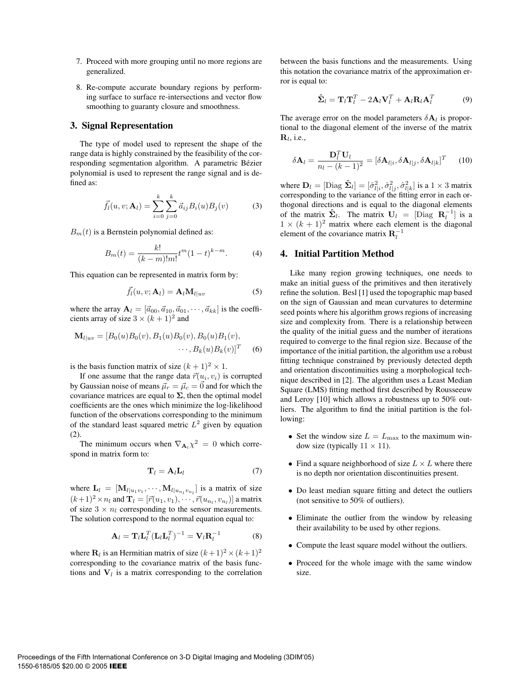- 7. Proceed with more grouping until no more regions are generalized.
- 8. Re-compute accurate boundary regions by performing surface to surface re-intersections and vector flow smoothing to guaranty closure and smoothness.

#### **3. Signal Representation**

The type of model used to represent the shape of the range data is highly constrained by the feasibility of the corresponding segmentation algorithm. A parametric Bézier polynomial is used to represent the range signal and is defined as:

$$
\vec{f}_l(u, v; \mathbf{A}_l) = \sum_{i=0}^k \sum_{j=0}^k \vec{a}_{ij} B_i(u) B_j(v)
$$
(3)

 $B_m(t)$  is a Bernstein polynomial defined as:

$$
B_m(t) = \frac{k!}{(k-m)!m!}t^m(1-t)^{k-m}.
$$
 (4)

This equation can be represented in matrix form by:

$$
\vec{f}_l(u, v; \mathbf{A}_l) = \mathbf{A}_l \mathbf{M}_{l|uv}
$$
 (5)

where the array  $\mathbf{A}_l = [\vec{a}_{00}, \vec{a}_{10}, \vec{a}_{01}, \cdots, \vec{a}_{kk}]$  is the coefficients array of size  $3 \times (k+1)^2$  and

$$
\mathbf{M}_{l|uv} = [B_0(u)B_0(v), B_1(u)B_0(v), B_0(u)B_1(v), \cdots, B_k(u)B_k(v)]^T
$$
 (6)

is the basis function matrix of size  $(k + 1)^2 \times 1$ .

If one assume that the range data  $\vec{r}(u_i, v_i)$  is corrupted by Gaussian noise of means  $\vec{\mu}_r = \vec{\mu}_c = \vec{0}$  and for which the covariance matrices are equal to  $\Sigma$ , then the optimal model coefficients are the ones which minimize the log-likelihood function of the observations corresponding to the minimum of the standard least squared metric  $L^2$  given by equation (2).

The minimum occurs when  $\nabla_{\mathbf{A}_i} \chi^2 = 0$  which correspond in matrix form to:

$$
\mathbf{T}_l = \mathbf{A}_l \mathbf{L}_l \tag{7}
$$

where  $\mathbf{L}_l = [\mathbf{M}_{l|u_1v_1}, \cdots, \mathbf{M}_{l|u_nv_n}]$  is a matrix of size  $(l_1+1)^2$ ,  $\mathbf{L}_l$  and  $\mathbf{T}_l$  is  $\mathbf{L}_l$  is  $\mathbf{L}_l$  is a matrix of size  $(k+1)^2 \times n_l$  and  $\mathbf{T}_l = [\vec{r}(u_1, v_1), \cdots, \vec{r}(u_{n_l}, v_{n_l})]$  a matrix of size  $3 \times n_l$  corresponding to the sensor measurements. The solution correspond to the normal equation equal to:

$$
\mathbf{A}_{l} = \mathbf{T}_{l} \mathbf{L}_{l}^{T} (\mathbf{L}_{l} \mathbf{L}_{l}^{T})^{-1} = \mathbf{V}_{l} \mathbf{R}_{l}^{-1}
$$
 (8)

where  $\mathbf{R}_l$  is an Hermitian matrix of size  $(k+1)^2 \times (k+1)^2$ corresponding to the covariance matrix of the basis functions and  $V_l$  is a matrix corresponding to the correlation between the basis functions and the measurements. Using this notation the covariance matrix of the approximation error is equal to:

$$
\hat{\mathbf{\Sigma}}_l = \mathbf{T}_l \mathbf{T}_l^T - 2\mathbf{A}_l \mathbf{V}_l^T + \mathbf{A}_l \mathbf{R}_l \mathbf{A}_l^T
$$
 (9)

The average error on the model parameters  $\delta A_l$  is proportional to the diagonal element of the inverse of the matrix  $\mathbf{R}_l$ , i.e.,

$$
\delta \mathbf{A}_{l} = \frac{\mathbf{D}_{l}^{T} \mathbf{U}_{l}}{n_{l} - (k - 1)^{2}} = [\delta \mathbf{A}_{l|i}, \delta \mathbf{A}_{l|j}, \delta \mathbf{A}_{l|k}]^{T} \quad (10)
$$

where  $\mathbf{D}_l = [\text{Diag } \hat{\mathbf{\Sigma}}_l] = [\hat{\sigma}_{l|i}^2, \hat{\sigma}_{l|j}^2, \hat{\sigma}_{l|k}^2]$  is a  $1 \times 3$  matrix corresponding to the variance of the fitting error in each orthogonal directions and is equal to the diagonal elements of the matrix  $\hat{\Sigma}_l$ . The matrix  $U_l = [\text{Diag } R_l^{-1}]$  is a  $1 \times (k+1)^2$  matrix where each element is the diagonal  $1 \times (k + 1)^2$  matrix where each element is the diagonal element of the covariance matrix  $\mathbf{R}_l^{-1}$ 

#### **4. Initial Partition Method**

Like many region growing techniques, one needs to make an initial guess of the primitives and then iteratively refine the solution. Besl [1] used the topographic map based on the sign of Gaussian and mean curvatures to determine seed points where his algorithm grows regions of increasing size and complexity from. There is a relationship between the quality of the initial guess and the number of iterations required to converge to the final region size. Because of the importance of the initial partition, the algorithm use a robust fitting technique constrained by previously detected depth and orientation discontinuities using a morphological technique described in [2]. The algorithm uses a Least Median Square (LMS) fitting method first described by Rousseeuw and Leroy [10] which allows a robustness up to 50% outliers. The algorithm to find the initial partition is the following:

- Set the window size  $L = L_{\text{max}}$  to the maximum window size (typically  $11 \times 11$ ).
- Find a square neighborhood of size  $L \times L$  where there is no depth nor orientation discontinuities present.
- Do least median square fitting and detect the outliers (not sensitive to 50% of outliers).
- Eliminate the outlier from the window by releasing their availability to be used by other regions.
- Compute the least square model without the outliers.
- Proceed for the whole image with the same window size.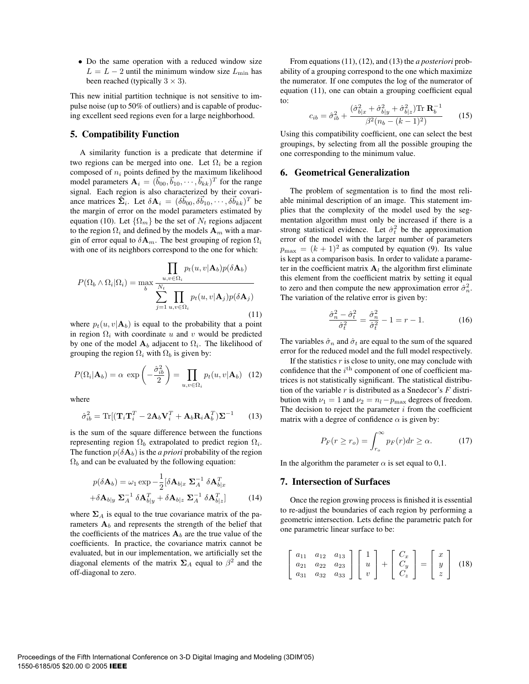• Do the same operation with a reduced window size  $L = L - 2$  until the minimum window size  $L_{\text{min}}$  has been reached (typically  $3 \times 3$ ).

This new initial partition technique is not sensitive to impulse noise (up to 50% of outliers) and is capable of producing excellent seed regions even for a large neighborhood.

## **5. Compatibility Function**

A similarity function is a predicate that determine if two regions can be merged into one. Let  $\Omega_i$  be a region composed of  $n_i$  points defined by the maximum likelihood model parameters  $\mathbf{A}_i = (\vec{b}_{00}, \vec{b}_{10}, \cdots, \vec{b}_{kk})^T$  for the range signal. Each region is also characterized by their covariance matrices  $\hat{\Sigma}_i$ . Let  $\delta \mathbf{A}_i = (\delta \vec{b}_{00}, \delta \vec{b}_{10}, \cdots, \delta \vec{b}_{kk})^T$  be the margin of error on the model parameters estimated by equation (10). Let  $\{\Omega_m\}$  be the set of  $N_t$  regions adjacent to the region  $\Omega_i$  and defined by the models  $\mathbf{A}_m$  with a margin of error equal to  $\delta \mathbf{A}_m$ . The best grouping of region  $\Omega_i$ with one of its neighbors correspond to the one for which:

$$
P(\Omega_b \wedge \Omega_i | \Omega_i) = \max_b \frac{\prod_{u,v \in \Omega_i} p_t(u, v | \mathbf{A}_b) p(\delta \mathbf{A}_b)}{\sum_{j=1}^N \prod_{u,v \in \Omega_i} p_t(u, v | \mathbf{A}_j) p(\delta \mathbf{A}_j)}
$$
(11)

where  $p_t(u, v | \mathbf{A}_b)$  is equal to the probability that a point in region  $\Omega_i$  with coordinate u and v would be predicted by one of the model  $A_b$  adjacent to  $\Omega_i$ . The likelihood of grouping the region  $\Omega_i$  with  $\Omega_b$  is given by:

$$
P(\Omega_i|\mathbf{A}_b) = \alpha \, \exp\left(-\frac{\hat{\sigma}_{ib}^2}{2}\right) = \prod_{u,v \in \Omega_i} p_t(u,v|\mathbf{A}_b) \quad (12)
$$

where

$$
\hat{\sigma}_{ib}^2 = \text{Tr}[(\mathbf{T}_i \mathbf{T}_i^T - 2\mathbf{A}_b \mathbf{V}_i^T + \mathbf{A}_b \mathbf{R}_i \mathbf{A}_b^T)\mathbf{\Sigma}^{-1} \qquad (13)
$$

is the sum of the square difference between the functions representing region  $\Omega_b$  extrapolated to predict region  $\Omega_i$ . The function  $p(\delta A_b)$  is the *a priori* probability of the region  $\Omega_b$  and can be evaluated by the following equation:

$$
p(\delta \mathbf{A}_b) = \omega_1 \exp \left(-\frac{1}{2} [\delta \mathbf{A}_{b|x} \ \mathbf{\Sigma}_A^{-1} \ \delta \mathbf{A}_{b|x}^T + \delta \mathbf{A}_{b|y} \ \mathbf{\Sigma}_A^{-1} \ \delta \mathbf{A}_{b|z}^T + \delta \mathbf{A}_{b|z} \ \mathbf{\Sigma}_A^{-1} \ \delta \mathbf{A}_{b|z}^T \right]
$$
(14)

where  $\Sigma_A$  is equal to the true covariance matrix of the parameters  $A_b$  and represents the strength of the belief that the coefficients of the matrices  $A_b$  are the true value of the coefficients. In practice, the covariance matrix cannot be evaluated, but in our implementation, we artificially set the diagonal elements of the matrix  $\Sigma_A$  equal to  $\beta^2$  and the off-diagonal to zero.

From equations (11), (12), and (13) the *a posteriori* probability of a grouping correspond to the one which maximize the numerator. If one computes the log of the numerator of equation (11), one can obtain a grouping coefficient equal to:

$$
c_{ib} = \hat{\sigma}_{ib}^2 + \frac{(\hat{\sigma}_{b|x}^2 + \hat{\sigma}_{b|y}^2 + \hat{\sigma}_{b|z}^2) \text{Tr } \mathbf{R}_b^{-1}}{\beta^2 (n_b - (k - 1)^2)}
$$
(15)

Using this compatibility coefficient, one can select the best groupings, by selecting from all the possible grouping the one corresponding to the minimum value.

#### **6. Geometrical Generalization**

The problem of segmentation is to find the most reliable minimal description of an image. This statement implies that the complexity of the model used by the segmentation algorithm must only be increased if there is a strong statistical evidence. Let  $\hat{\sigma}_t^2$  be the approximation<br>error of the model with the larger number of parameters error of the model with the larger number of parameters  $p_{\text{max}} = (k + 1)^2$  as computed by equation (9). Its value is kept as a comparison basis. In order to validate a parameter in the coefficient matrix  $A_l$  the algorithm first eliminate this element from the coefficient matrix by setting it equal to zero and then compute the new approximation error  $\hat{\sigma}_n^2$ .<br>The variation of the relative error is given by: The variation of the relative error is given by:

$$
\frac{\hat{\sigma}_n^2 - \hat{\sigma}_t^2}{\hat{\sigma}_t^2} = \frac{\hat{\sigma}_n^2}{\hat{\sigma}_t^2} - 1 = r - 1.
$$
 (16)

The variables  $\hat{\sigma}_n$  and  $\hat{\sigma}_t$  are equal to the sum of the squared error for the reduced model and the full model respectively.

If the statistics  $r$  is close to unity, one may conclude with confidence that the  $i^{\text{th}}$  component of one of coefficient matrices is not statistically significant. The statistical distribution of the variable  $r$  is distributed as a Snedecor's  $F$  distribution with  $\nu_1 = 1$  and  $\nu_2 = n_l - p_{\text{max}}$  degrees of freedom. The decision to reject the parameter  $i$  from the coefficient matrix with a degree of confidence  $\alpha$  is given by:

$$
P_F(r \ge r_o) = \int_{r_o}^{\infty} p_F(r) dr \ge \alpha.
$$
 (17)

In the algorithm the parameter  $\alpha$  is set equal to 0,1.

### **7. Intersection of Surfaces**

Once the region growing process is finished it is essential to re-adjust the boundaries of each region by performing a geometric intersection. Lets define the parametric patch for one parametric linear surface to be:

$$
\begin{bmatrix} a_{11} & a_{12} & a_{13} \\ a_{21} & a_{22} & a_{23} \\ a_{31} & a_{32} & a_{33} \end{bmatrix} \begin{bmatrix} 1 \\ u \\ v \end{bmatrix} + \begin{bmatrix} C_x \\ C_y \\ C_z \end{bmatrix} = \begin{bmatrix} x \\ y \\ z \end{bmatrix} \tag{18}
$$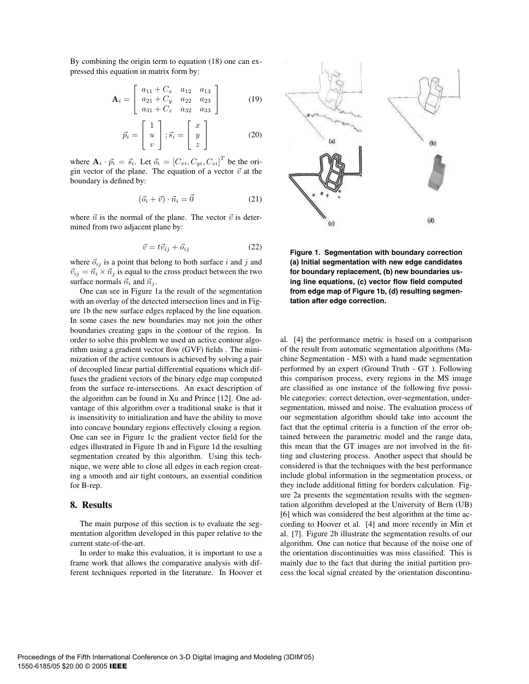By combining the origin term to equation (18) one can expressed this equation in matrix form by:

$$
\mathbf{A}_{i} = \left[ \begin{array}{ccc} a_{11} + C_x & a_{12} & a_{13} \\ a_{21} + C_y & a_{22} & a_{23} \\ a_{31} + C_z & a_{32} & a_{33} \end{array} \right] \tag{19}
$$

$$
\vec{p}_i = \begin{bmatrix} 1 \\ u \\ v \end{bmatrix}; \vec{s}_i = \begin{bmatrix} x \\ y \\ z \end{bmatrix}
$$
 (20)

where  $\mathbf{A}_i \cdot \vec{p}_i = \vec{s}_i$ . Let  $\vec{o}_i = [C_{xi}, C_{yi}, C_{zi}]^T$  be the ori-<br>gin vector of the plane. The equation of a vector  $\vec{v}$  at the gin vector of the plane. The equation of a vector  $\vec{v}$  at the boundary is defined by:

$$
(\vec{o}_i + \vec{v}) \cdot \vec{n}_i = \vec{0} \tag{21}
$$

where  $\vec{n}$  is the normal of the plane. The vector  $\vec{v}$  is determined from two adjacent plane by:

$$
\vec{v} = t\vec{v}_{ij} + \vec{o}_{ij} \tag{22}
$$

where  $\vec{o}_{ij}$  is a point that belong to both surface i and j and  $\vec{v}_{ij} = \vec{n}_i \times \vec{n}_j$  is equal to the cross product between the two surface normals  $\vec{n}_i$  and  $\vec{n}_j$ .

One can see in Figure 1a the result of the segmentation with an overlay of the detected intersection lines and in Figure 1b the new surface edges replaced by the line equation. In some cases the new boundaries may not join the other boundaries creating gaps in the contour of the region. In order to solve this problem we used an active contour algorithm using a gradient vector flow (GVF) fields . The minimization of the active contours is achieved by solving a pair of decoupled linear partial differential equations which diffuses the gradient vectors of the binary edge map computed from the surface re-intersections. An exact description of the algorithm can be found in Xu and Prince [12]. One advantage of this algorithm over a traditional snake is that it is insensitivity to initialization and have the ability to move into concave boundary regions effectively closing a region. One can see in Figure 1c the gradient vector field for the edges illustrated in Figure 1b and in Figure 1d the resulting segmentation created by this algorithm. Using this technique, we were able to close all edges in each region creating a smooth and air tight contours, an essential condition for B-rep.

#### **8. Results**

The main purpose of this section is to evaluate the segmentation algorithm developed in this paper relative to the current state-of-the-art.

In order to make this evaluation, it is important to use a frame work that allows the comparative analysis with different techniques reported in the literature. In Hoover et



**Figure 1. Segmentation with boundary correction (a) Initial segmentation with new edge candidates for boundary replacement, (b) new boundaries using line equations, (c) vector flow field computed from edge map of Figure 1b, (d) resulting segmentation after edge correction.**

al. [4] the performance metric is based on a comparison of the result from automatic segmentation algorithms (Machine Segmentation - MS) with a hand made segmentation performed by an expert (Ground Truth - GT ). Following this comparison process, every regions in the MS image are classified as one instance of the following five possible categories: correct detection, over-segmentation, undersegmentation, missed and noise. The evaluation process of our segmentation algorithm should take into account the fact that the optimal criteria is a function of the error obtained between the parametric model and the range data, this mean that the GT images are not involved in the fitting and clustering process. Another aspect that should be considered is that the techniques with the best performance include global information in the segmentation process, or they include additional fitting for borders calculation. Figure 2a presents the segmentation results with the segmentation algorithm developed at the University of Bern (UB) [6] which was considered the best algorithm at the time according to Hoover et al. [4] and more recently in Min et al. [7]. Figure 2b illustrate the segmentation results of our algorithm. One can notice that because of the noise one of the orientation discontinuities was miss classified. This is mainly due to the fact that during the initial partition process the local signal created by the orientation discontinu-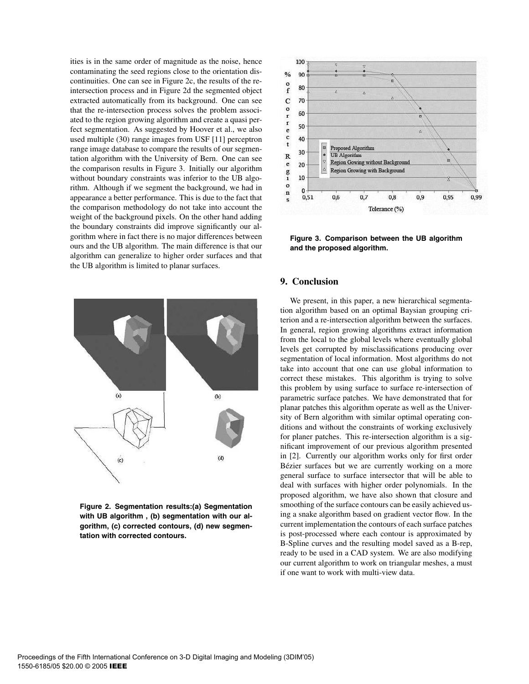ities is in the same order of magnitude as the noise, hence contaminating the seed regions close to the orientation discontinuities. One can see in Figure 2c, the results of the reintersection process and in Figure 2d the segmented object extracted automatically from its background. One can see that the re-intersection process solves the problem associated to the region growing algorithm and create a quasi perfect segmentation. As suggested by Hoover et al., we also used multiple (30) range images from USF [11] perceptron range image database to compare the results of our segmentation algorithm with the University of Bern. One can see the comparison results in Figure 3. Initially our algorithm without boundary constraints was inferior to the UB algorithm. Although if we segment the background, we had in appearance a better performance. This is due to the fact that the comparison methodology do not take into account the weight of the background pixels. On the other hand adding the boundary constraints did improve significantly our algorithm where in fact there is no major differences between ours and the UB algorithm. The main difference is that our algorithm can generalize to higher order surfaces and that the UB algorithm is limited to planar surfaces.



**Figure 2. Segmentation results:(a) Segmentation with UB algorithm , (b) segmentation with our algorithm, (c) corrected contours, (d) new segmentation with corrected contours.**



**Figure 3. Comparison between the UB algorithm and the proposed algorithm.**

### **9. Conclusion**

We present, in this paper, a new hierarchical segmentation algorithm based on an optimal Baysian grouping criterion and a re-intersection algorithm between the surfaces. In general, region growing algorithms extract information from the local to the global levels where eventually global levels get corrupted by misclassifications producing over segmentation of local information. Most algorithms do not take into account that one can use global information to correct these mistakes. This algorithm is trying to solve this problem by using surface to surface re-intersection of parametric surface patches. We have demonstrated that for planar patches this algorithm operate as well as the University of Bern algorithm with similar optimal operating conditions and without the constraints of working exclusively for planer patches. This re-intersection algorithm is a significant improvement of our previous algorithm presented in [2]. Currently our algorithm works only for first order Bézier surfaces but we are currently working on a more general surface to surface intersector that will be able to deal with surfaces with higher order polynomials. In the proposed algorithm, we have also shown that closure and smoothing of the surface contours can be easily achieved using a snake algorithm based on gradient vector flow. In the current implementation the contours of each surface patches is post-processed where each contour is approximated by B-Spline curves and the resulting model saved as a B-rep, ready to be used in a CAD system. We are also modifying our current algorithm to work on triangular meshes, a must if one want to work with multi-view data.